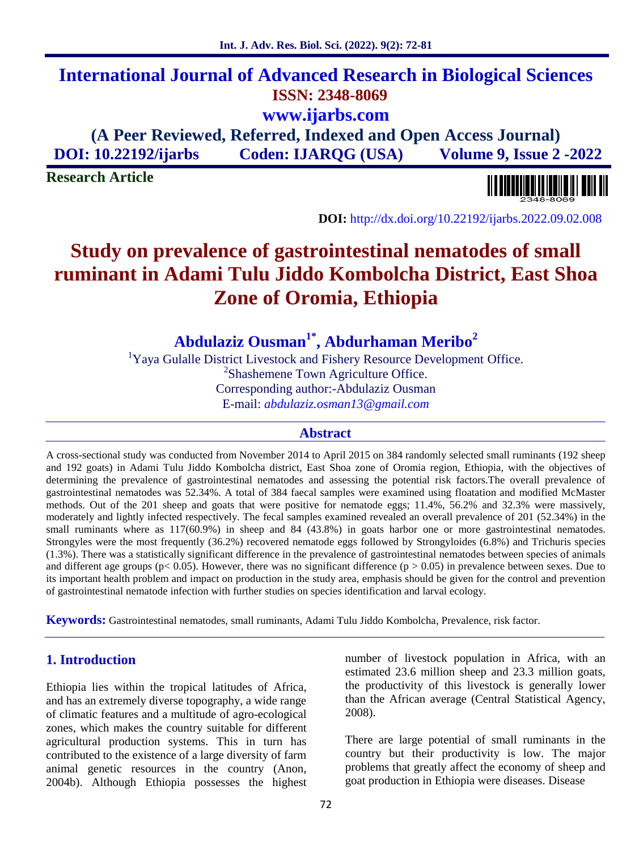# **International Journal of Advanced Research in Biological Sciences ISSN: 2348-8069 www.ijarbs.com**

**(A Peer Reviewed, Referred, Indexed and Open Access Journal) DOI: 10.22192/ijarbs Coden: IJARQG (USA) Volume 9, Issue 2 -2022**

**Research Article**



**DOI:** http://dx.doi.org/10.22192/ijarbs.2022.09.02.008

# **Study on prevalence of gastrointestinal nematodes of small ruminant in Adami Tulu Jiddo Kombolcha District, East Shoa Zone of Oromia, Ethiopia**

**Abdulaziz Ousman1\*, Abdurhaman Meribo<sup>2</sup>**

<sup>1</sup>Yaya Gulalle District Livestock and Fishery Resource Development Office. <sup>2</sup>Shashemene Town Agriculture Office. Corresponding author:-Abdulaziz Ousman E-mail: *abdulaziz.osman13@gmail.com*

## **Abstract**

A cross-sectional study was conducted from November 2014 to April 2015 on 384 randomly selected small ruminants (192 sheep and 192 goats) in Adami Tulu Jiddo Kombolcha district, East Shoa zone of Oromia region, Ethiopia, with the objectives of determining the prevalence of gastrointestinal nematodes and assessing the potential risk factors.The overall prevalence of gastrointestinal nematodes was 52.34%. A total of 384 faecal samples were examined using floatation and modified McMaster methods. Out of the 201 sheep and goats that were positive for nematode eggs; 11.4%, 56.2% and 32.3% were massively, moderately and lightly infected respectively. The fecal samples examined revealed an overall prevalence of 201 (52.34%) in the small ruminants where as  $117(60.9\%)$  in sheep and 84 (43.8%) in goats harbor one or more gastrointestinal nematodes. Strongyles were the most frequently (36.2%) recovered nematode eggs followed by Strongyloides (6.8%) and Trichuris species (1.3%). There was a statistically significant difference in the prevalence of gastrointestinal nematodes between species of animals and different age groups ( $p$ < 0.05). However, there was no significant difference ( $p$  > 0.05) in prevalence between sexes. Due to its important health problem and impact on production in the study area, emphasis should be given for the control and prevention of gastrointestinal nematode infection with further studies on species identification and larval ecology.

**Keywords:** Gastrointestinal nematodes, small ruminants, Adami Tulu Jiddo Kombolcha, Prevalence, risk factor.

## **1. Introduction**

Ethiopia lies within the tropical latitudes of Africa, and has an extremely diverse topography, a wide range of climatic features and a multitude of agro-ecological zones, which makes the country suitable for different agricultural production systems. This in turn has contributed to the existence of a large diversity of farm animal genetic resources in the country (Anon, 2004b). Although Ethiopia possesses the highest number of livestock population in Africa, with an estimated 23.6 million sheep and 23.3 million goats, the productivity of this livestock is generally lower than the African average (Central Statistical Agency, 2008).

There are large potential of small ruminants in the country but their productivity is low. The major problems that greatly affect the economy of sheep and goat production in Ethiopia were diseases. Disease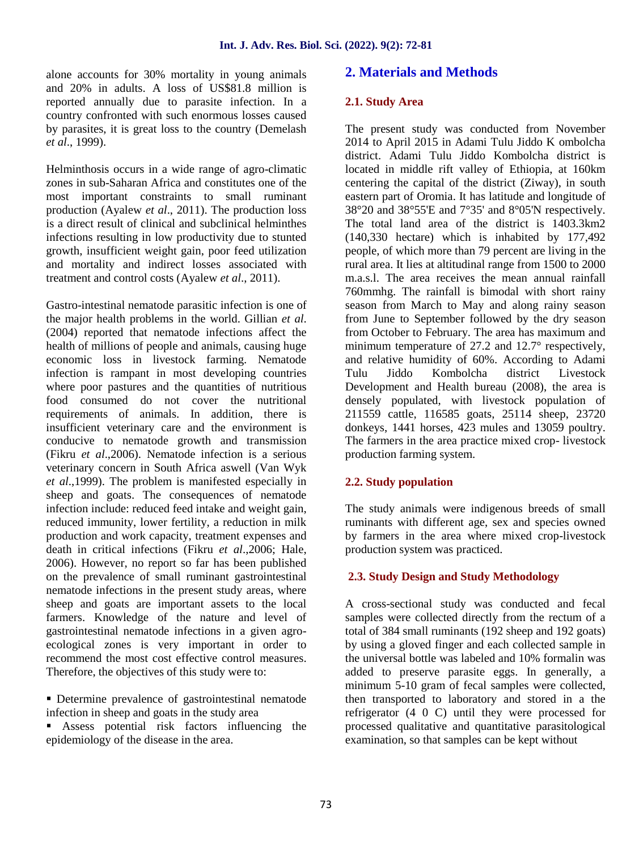alone accounts for 30% mortality in young animals and 20% in adults. A loss of US\$81.8 million is reported annually due to parasite infection. In a country confronted with such enormous losses caused by parasites, it is great loss to the country (Demelash *et al*., 1999).

Helminthosis occurs in a wide range of agro-climatic zones in sub-Saharan Africa and constitutes one of the most important constraints to small ruminant production (Ayalew *et al*., 2011). The production loss is a direct result of clinical and subclinical helminthes infections resulting in low productivity due to stunted growth, insufficient weight gain, poor feed utilization and mortality and indirect losses associated with treatment and control costs (Ayalew *et al*., 2011).

Gastro-intestinal nematode parasitic infection is one of the major health problems in the world. Gillian *et al*. (2004) reported that nematode infections affect the health of millions of people and animals, causing huge economic loss in livestock farming. Nematode infection is rampant in most developing countries where poor pastures and the quantities of nutritious food consumed do not cover the nutritional requirements of animals. In addition, there is insufficient veterinary care and the environment is conducive to nematode growth and transmission (Fikru *et al*.,2006). Nematode infection is a serious veterinary concern in South Africa aswell (Van Wyk *et al*.,1999). The problem is manifested especially in sheep and goats. The consequences of nematode infection include: reduced feed intake and weight gain, reduced immunity, lower fertility, a reduction in milk production and work capacity, treatment expenses and death in critical infections (Fikru *et al*.,2006; Hale, 2006). However, no report so far has been published on the prevalence of small ruminant gastrointestinal nematode infections in the present study areas, where sheep and goats are important assets to the local farmers. Knowledge of the nature and level of gastrointestinal nematode infections in a given agro ecological zones is very important in order to recommend the most cost effective control measures. Therefore, the objectives of this study were to:

- Determine prevalence of gastrointestinal nematode infection in sheep and goats in the study area
- Assess potential risk factors influencing the epidemiology of the disease in the area.

## **2. Materials and Methods**

## **2.1. Study Area**

The present study was conducted from November 2014 to April 2015 in Adami Tulu Jiddo K ombolcha district. Adami Tulu Jiddo Kombolcha district is located in middle rift valley of Ethiopia, at 160km centering the capital of the district (Ziway), in south eastern part of Oromia. It has latitude and longitude of 38°20 and 38°55'E and 7°35' and 8°05'N respectively. The total land area of the district is 1403.3km2 (140,330 hectare) which is inhabited by 177,492 people, of which more than 79 percent are living in the rural area. It lies at altitudinal range from 1500 to 2000 m.a.s.l. The area receives the mean annual rainfall 760mmhg. The rainfall is bimodal with short rainy season from March to May and along rainy season from June to September followed by the dry season from October to February. The area has maximum and minimum temperature of 27.2 and 12.7° respectively, and relative humidity of 60%. According to Adami Tulu Jiddo Kombolcha district Livestock Development and Health bureau (2008), the area is densely populated, with livestock population of 211559 cattle, 116585 goats, 25114 sheep, 23720 donkeys, 1441 horses, 423 mules and 13059 poultry. The farmers in the area practice mixed crop- livestock production farming system.

## **2.2. Study population**

The study animals were indigenous breeds of small ruminants with different age, sex and species owned by farmers in the area where mixed crop-livestock production system was practiced.

## **2.3. Study Design and Study Methodology**

A cross-sectional study was conducted and fecal samples were collected directly from the rectum of a total of 384 small ruminants (192 sheep and 192 goats) by using a gloved finger and each collected sample in the universal bottle was labeled and 10% formalin was added to preserve parasite eggs. In generally, a minimum 5-10 gram of fecal samples were collected, then transported to laboratory and stored in a the refrigerator (4 0 C) until they were processed for processed qualitative and quantitative parasitological examination, so that samples can be kept without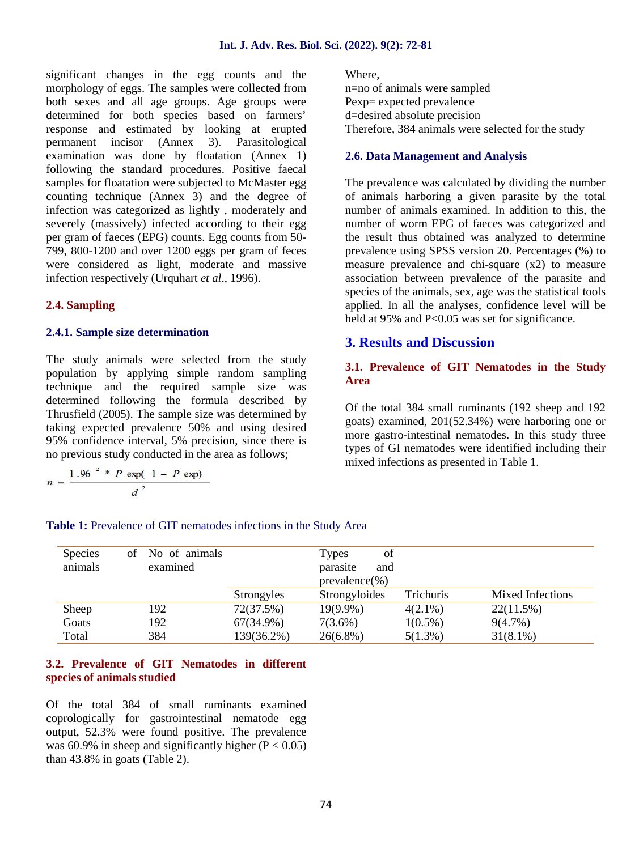significant changes in the egg counts and the morphology of eggs. The samples were collected from both sexes and all age groups. Age groups were determined for both species based on farmers' response and estimated by looking at erupted permanent incisor (Annex 3). Parasitological examination was done by floatation (Annex 1) following the standard procedures. Positive faecal samples for floatation were subjected to McMaster egg counting technique (Annex 3) and the degree of infection was categorized as lightly , moderately and severely (massively) infected according to their egg per gram of faeces (EPG) counts. Egg counts from 50- 799, 800-1200 and over 1200 eggs per gram of feces were considered as light, moderate and massive infection respectively (Urquhart *et al*., 1996).

## **2.4. Sampling**

#### **2.4.1. Sample size determination**

The study animals were selected from the study population by applying simple random sampling technique and the required sample size was determined following the formula described by Thrusfield (2005). The sample size was determined by taking expected prevalence 50% and using desired 95% confidence interval, 5% precision, since there is no previous study conducted in the area as follows;

$$
n = \frac{1.96^{2} * P \exp(-1 - P \exp)}{d^{2}}
$$

Where

n=no of animals were sampled Pexp= expected prevalence d=desired absolute precision Therefore, 384 animals were selected for the study

## **2.6. Data Management and Analysis**

The prevalence was calculated by dividing the number of animals harboring a given parasite by the total number of animals examined. In addition to this, the number of worm EPG of faeces was categorized and the result thus obtained was analyzed to determine prevalence using SPSS version 20. Percentages (%) to measure prevalence and chi-square (x2) to measure association between prevalence of the parasite and species of the animals, sex, age was the statistical tools applied. In all the analyses, confidence level will be held at 95% and P<0.05 was set for significance.

## **3. Results and Discussion**

## **3.1. Prevalence of GIT Nematodes in the Study Area**

Of the total 384 small ruminants (192 sheep and 192 goats) examined, 201(52.34%) were harboring one or more gastro-intestinal nematodes. In this study three types of GI nematodes were identified including their mixed infections as presented in Table 1.

| <b>Species</b><br>animals | οť | No of animals<br>examined |                   | of<br>Types<br>parasite<br>and<br>$prevalence(\%)$ |            |                  |
|---------------------------|----|---------------------------|-------------------|----------------------------------------------------|------------|------------------|
|                           |    |                           | <b>Strongyles</b> | Strongyloides                                      | Trichuris  | Mixed Infections |
| Sheep                     |    | 192                       | 72(37.5%)         | $19(9.9\%)$                                        | $4(2.1\%)$ | 22(11.5%)        |
| Goats                     |    | 192                       | $67(34.9\%)$      | $7(3.6\%)$                                         | $1(0.5\%)$ | $9(4.7\%)$       |
| Total                     |    | 384                       | 139(36.2%)        | $26(6.8\%)$                                        | $5(1.3\%)$ | $31(8.1\%)$      |

#### **Table 1:** Prevalence of GIT nematodes infections in the Study Area

## **3.2. Prevalence of GIT Nematodes in different species of animals studied**

Of the total 384 of small ruminants examined coprologically for gastrointestinal nematode egg output, 52.3% were found positive. The prevalence was 60.9% in sheep and significantly higher  $(P < 0.05)$ than 43.8% in goats (Table 2).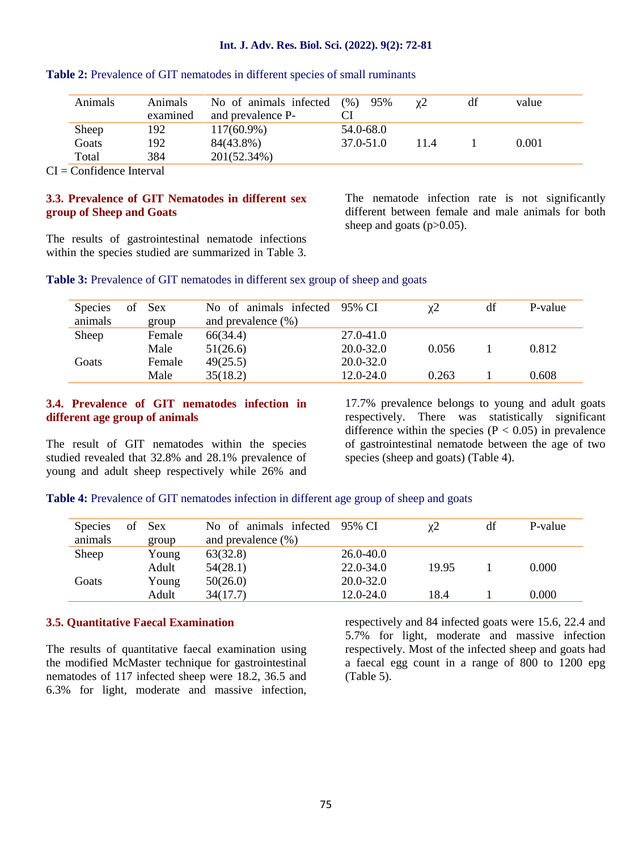#### **Int. J. Adv. Res. Biol. Sci. (2022). 9(2): 72-81**

| Animals                     | <b>Animals</b>                | No of animals infected (%) 95% |           |     | df | value |
|-----------------------------|-------------------------------|--------------------------------|-----------|-----|----|-------|
|                             | examined                      | and prevalence P-              |           |     |    |       |
| Sheep                       | 192.                          | $117(60.9\%)$                  | 54.0-68.0 |     |    |       |
| Goats                       | 192.                          | 84(43.8%)                      | 37.0-51.0 | 114 |    | 0.001 |
| Total                       | 384                           | 201(52.34%)                    |           |     |    |       |
| $\sim$ $\sim$ $\sim$ $\sim$ | $\mathbf{v}$ and $\mathbf{v}$ |                                |           |     |    |       |

|  |  | <b>Table 2:</b> Prevalence of GIT nematodes in different species of small ruminants |
|--|--|-------------------------------------------------------------------------------------|
|--|--|-------------------------------------------------------------------------------------|

 $CI = Confidence Interval$ 

## **3.3. Prevalence of GIT Nematodes in different sex group of Sheep and Goats**

The results of gastrointestinal nematode infections within the species studied are summarized in Table 3.

The nematode infection rate is not significantly different between female and male animals for both sheep and goats  $(p>0.05)$ .

**Table 3:** Prevalence of GIT nematodes in different sex group of sheep and goats

| <b>Species</b> | 0t | <b>Sex</b> | No of animals infected 95% CI |               |       | df | P-value |
|----------------|----|------------|-------------------------------|---------------|-------|----|---------|
| animals        |    | group      | and prevalence $(\%)$         |               |       |    |         |
| Sheep          |    | Female     | 66(34.4)                      | 27.0-41.0     |       |    |         |
|                |    | Male       | 51(26.6)                      | $20.0 - 32.0$ | 0.056 |    | 0.812   |
| Goats          |    | Female     | 49(25.5)                      | $20.0 - 32.0$ |       |    |         |
|                |    | Male       | 35(18.2)                      | $12.0 - 24.0$ | 0.263 |    | 0.608   |

## **3.4. Prevalence of GIT nematodes infection in different age group of animals**

The result of GIT nematodes within the species studied revealed that 32.8% and 28.1% prevalence of young and adult sheep respectively while 26% and 17.7% prevalence belongs to young and adult goats respectively. There was statistically significant difference within the species  $(P < 0.05)$  in prevalence of gastrointestinal nematode between the age of two species (sheep and goats) (Table 4).

## **Table 4:** Prevalence of GIT nematodes infection in different age group of sheep and goats

| <b>Species</b><br>animals | of Sex         | No of animals infected 95% CI<br>and prevalence $(\%)$ |               |       | df | P-value |
|---------------------------|----------------|--------------------------------------------------------|---------------|-------|----|---------|
| Sheep                     | group<br>Young | 63(32.8)                                               | 26.0-40.0     |       |    |         |
|                           | Adult          | 54(28.1)                                               | $22.0 - 34.0$ | 19.95 |    | 0.000   |
| Goats                     | Young          | 50(26.0)                                               | $20.0 - 32.0$ |       |    |         |
|                           | Adult          | 34(17.7)                                               | 12.0-24.0     | 18.4  |    | 0.000   |

## **3.5. Quantitative Faecal Examination**

The results of quantitative faecal examination using the modified McMaster technique for gastrointestinal nematodes of 117 infected sheep were 18.2, 36.5 and 6.3% for light, moderate and massive infection, respectively and 84 infected goats were 15.6, 22.4 and 5.7% for light, moderate and massive infection respectively. Most of the infected sheep and goats had a faecal egg count in a range of 800 to 1200 epg (Table 5).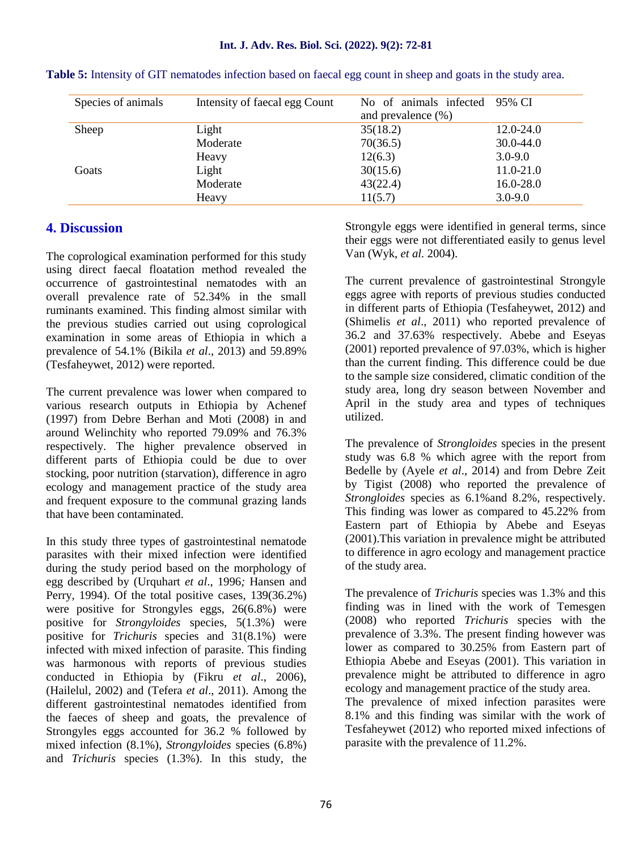## **Int. J. Adv. Res. Biol. Sci. (2022). 9(2): 72-81**

| Species of animals | Intensity of faecal egg Count | No of animals infected 95% CI<br>and prevalence $(\%)$ |               |
|--------------------|-------------------------------|--------------------------------------------------------|---------------|
| Sheep              | Light                         | 35(18.2)                                               | 12.0-24.0     |
|                    | Moderate                      | 70(36.5)                                               | $30.0 - 44.0$ |
|                    | Heavy                         | 12(6.3)                                                | $3.0 - 9.0$   |
| Goats              | Light                         | 30(15.6)                                               | 11.0-21.0     |
|                    | Moderate                      | 43(22.4)                                               | 16.0-28.0     |
|                    | Heavy                         | 11(5.7)                                                | $3.0 - 9.0$   |

**Table 5:** Intensity of GIT nematodes infection based on faecal egg count in sheep and goats in the study area.

# **4. Discussion**

The coprological examination performed for this study using direct faecal floatation method revealed the occurrence of gastrointestinal nematodes with an overall prevalence rate of 52.34% in the small ruminants examined. This finding almost similar with the previous studies carried out using coprological examination in some areas of Ethiopia in which a prevalence of 54.1% (Bikila *et al*., 2013) and 59.89% (Tesfaheywet, 2012) were reported.

The current prevalence was lower when compared to various research outputs in Ethiopia by Achenef (1997) from Debre Berhan and Moti (2008) in and around Welinchity who reported 79.09% and 76.3% respectively. The higher prevalence observed in different parts of Ethiopia could be due to over stocking, poor nutrition (starvation), difference in agro ecology and management practice of the study area and frequent exposure to the communal grazing lands that have been contaminated.

In this study three types of gastrointestinal nematode parasites with their mixed infection were identified during the study period based on the morphology of egg described by (Urquhart *et al*., 1996*;* Hansen and Perry, 1994). Of the total positive cases, 139(36.2%) were positive for Strongyles eggs, 26(6.8%) were positive for *Strongyloides* species, 5(1.3%) were positive for *Trichuris* species and 31(8.1%) were infected with mixed infection of parasite. This finding was harmonous with reports of previous studies conducted in Ethiopia by (Fikru *et al*., 2006), (Hailelul, 2002) and (Tefera *et al*., 2011). Among the different gastrointestinal nematodes identified from the faeces of sheep and goats, the prevalence of Strongyles eggs accounted for 36.2 % followed by mixed infection (8.1%), *Strongyloides* species (6.8%) and *Trichuris* species (1.3%). In this study, the

Strongyle eggs were identified in general terms, since their eggs were not differentiated easily to genus level Van (Wyk, *et al.* 2004).

The current prevalence of gastrointestinal Strongyle eggs agree with reports of previous studies conducted in different parts of Ethiopia (Tesfaheywet, 2012) and (Shimelis *et al*., 2011) who reported prevalence of 36.2 and 37.63% respectively. Abebe and Eseyas (2001) reported prevalence of 97.03%, which is higher than the current finding. This difference could be due to the sample size considered, climatic condition of the study area, long dry season between November and April in the study area and types of techniques utilized.

The prevalence of *Strongloides* species in the present study was 6.8 % which agree with the report from Bedelle by (Ayele *et al*., 2014) and from Debre Zeit by Tigist (2008) who reported the prevalence of *Strongloides* species as 6.1%and 8.2%, respectively. This finding was lower as compared to 45.22% from Eastern part of Ethiopia by Abebe and Eseyas (2001).This variation in prevalence might be attributed to difference in agro ecology and management practice of the study area.

The prevalence of *Trichuris* species was 1.3% and this finding was in lined with the work of Temesgen (2008) who reported *Trichuris* species with the prevalence of 3.3%. The present finding however was lower as compared to 30.25% from Eastern part of Ethiopia Abebe and Eseyas (2001). This variation in prevalence might be attributed to difference in agro ecology and management practice of the study area. The prevalence of mixed infection parasites were

8.1% and this finding was similar with the work of Tesfaheywet (2012) who reported mixed infections of parasite with the prevalence of 11.2%.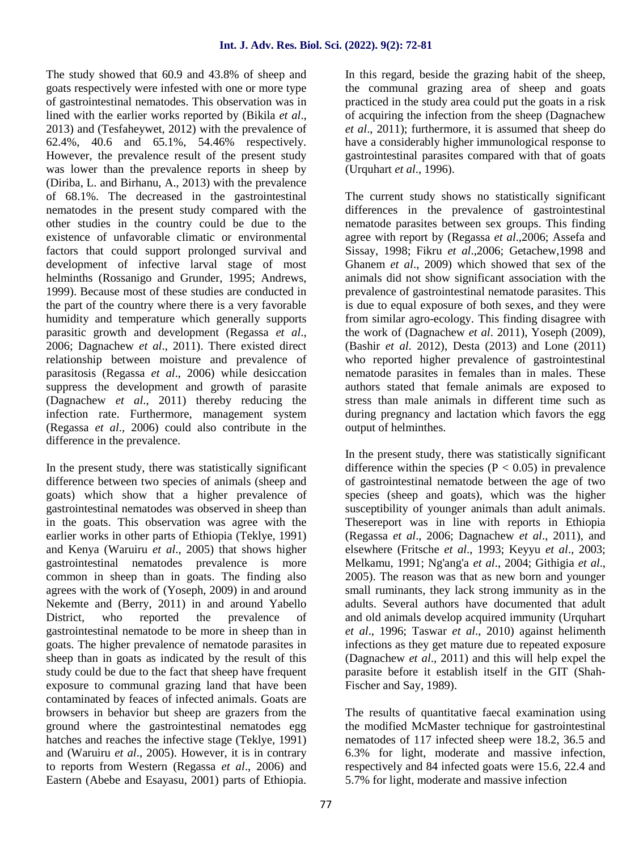The study showed that 60.9 and 43.8% of sheep and goats respectively were infested with one or more type of gastrointestinal nematodes. This observation was in lined with the earlier works reported by (Bikila *et al*., 2013) and (Tesfaheywet, 2012) with the prevalence of 62.4%, 40.6 and 65.1%, 54.46% respectively. However, the prevalence result of the present study was lower than the prevalence reports in sheep by (Diriba, L. and Birhanu, A., 2013) with the prevalence of 68.1%. The decreased in the gastrointestinal nematodes in the present study compared with the other studies in the country could be due to the existence of unfavorable climatic or environmental factors that could support prolonged survival and development of infective larval stage of most helminths (Rossanigo and Grunder, 1995; Andrews, 1999). Because most of these studies are conducted in the part of the country where there is a very favorable humidity and temperature which generally supports parasitic growth and development (Regassa *et al*., 2006; Dagnachew *et al*., 2011). There existed direct relationship between moisture and prevalence of parasitosis (Regassa *et al*., 2006) while desiccation suppress the development and growth of parasite (Dagnachew *et al*., 2011) thereby reducing the infection rate. Furthermore, management system (Regassa *et al*., 2006) could also contribute in the difference in the prevalence.

In the present study, there was statistically significant difference between two species of animals (sheep and goats) which show that a higher prevalence of gastrointestinal nematodes was observed in sheep than in the goats. This observation was agree with the earlier works in other parts of Ethiopia (Teklye, 1991) and Kenya (Waruiru *et al*., 2005) that shows higher gastrointestinal nematodes prevalence is more common in sheep than in goats. The finding also agrees with the work of (Yoseph, 2009) in and around Nekemte and (Berry, 2011) in and around Yabello District, who reported the prevalence of gastrointestinal nematode to be more in sheep than in goats. The higher prevalence of nematode parasites in sheep than in goats as indicated by the result of this study could be due to the fact that sheep have frequent exposure to communal grazing land that have been contaminated by feaces of infected animals. Goats are browsers in behavior but sheep are grazers from the ground where the gastrointestinal nematodes egg hatches and reaches the infective stage (Teklye, 1991) and (Waruiru *et al*., 2005). However, it is in contrary to reports from Western (Regassa *et al*., 2006) and Eastern (Abebe and Esayasu, 2001) parts of Ethiopia.

In this regard, beside the grazing habit of the sheep, the communal grazing area of sheep and goats practiced in the study area could put the goats in a risk of acquiring the infection from the sheep (Dagnachew *et al*., 2011); furthermore, it is assumed that sheep do have a considerably higher immunological response to gastrointestinal parasites compared with that of goats (Urquhart *et al*., 1996).

The current study shows no statistically significant differences in the prevalence of gastrointestinal nematode parasites between sex groups. This finding agree with report by (Regassa *et al*.,2006; Assefa and Sissay, 1998; Fikru *et al*.,2006; Getachew,1998 and Ghanem *et al*., 2009) which showed that sex of the animals did not show significant association with the prevalence of gastrointestinal nematode parasites. This is due to equal exposure of both sexes, and they were from similar agro-ecology. This finding disagree with the work of (Dagnachew *et al*. 2011), Yoseph (2009), (Bashir *et al*. 2012), Desta (2013) and Lone (2011) who reported higher prevalence of gastrointestinal nematode parasites in females than in males. These authors stated that female animals are exposed to stress than male animals in different time such as during pregnancy and lactation which favors the egg output of helminthes.

In the present study, there was statistically significant difference within the species ( $P < 0.05$ ) in prevalence of gastrointestinal nematode between the age of two species (sheep and goats), which was the higher susceptibility of younger animals than adult animals. Thesereport was in line with reports in Ethiopia (Regassa *et al*., 2006; Dagnachew *et al*., 2011), and elsewhere (Fritsche *et al*., 1993; Keyyu *et al*., 2003; Melkamu, 1991; Ng'ang'a *et al*., 2004; Githigia *et al*., 2005). The reason was that as new born and younger small ruminants, they lack strong immunity as in the adults. Several authors have documented that adult and old animals develop acquired immunity (Urquhart *et al*., 1996; Taswar *et al*., 2010) against helimenth infections as they get mature due to repeated exposure (Dagnachew *et al*., 2011) and this will help expel the parasite before it establish itself in the GIT (Shah- Fischer and Say, 1989).

The results of quantitative faecal examination using the modified McMaster technique for gastrointestinal nematodes of 117 infected sheep were 18.2, 36.5 and 6.3% for light, moderate and massive infection, respectively and 84 infected goats were 15.6, 22.4 and 5.7% for light, moderate and massive infection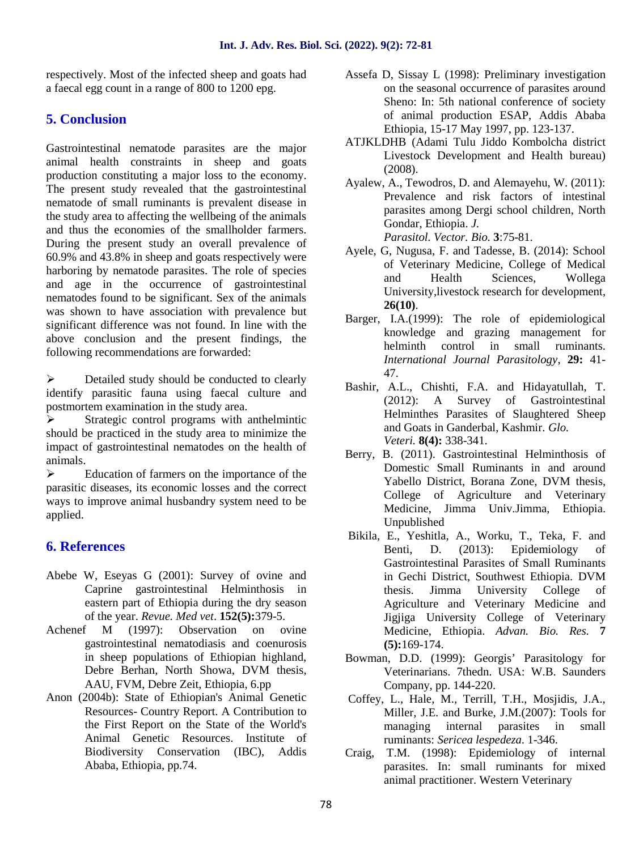respectively. Most of the infected sheep and goats had a faecal egg count in a range of 800 to 1200 epg.

# **5. Conclusion**

Gastrointestinal nematode parasites are the major animal health constraints in sheep and goats production constituting a major loss to the economy. The present study revealed that the gastrointestinal nematode of small ruminants is prevalent disease in the study area to affecting the wellbeing of the animals and thus the economies of the smallholder farmers. During the present study an overall prevalence of 60.9% and 43.8% in sheep and goats respectively were harboring by nematode parasites. The role of species and age in the occurrence of gastrointestinal nematodes found to be significant. Sex of the animals was shown to have association with prevalence but significant difference was not found. In line with the above conclusion and the present findings, the following recommendations are forwarded:

 $\triangleright$  Detailed study should be conducted to clearly identify parasitic fauna using faecal culture and postmortem examination in the study area.

 $\triangleright$  Strategic control programs with anthelmintic should be practiced in the study area to minimize the impact of gastrointestinal nematodes on the health of animals.

 $\triangleright$  Education of farmers on the importance of the parasitic diseases, its economic losses and the correct ways to improve animal husbandry system need to be applied.

# **6. References**

- Abebe W, Eseyas G (2001): Survey of ovine and Caprine gastrointestinal Helminthosis in eastern part of Ethiopia during the dry season of the year. *Revue. Med vet*. **152(5):**379-5.
- Achenef M (1997): Observation on ovine gastrointestinal nematodiasis and coenurosis in sheep populations of Ethiopian highland, Debre Berhan, North Showa, DVM thesis, AAU, FVM, Debre Zeit, Ethiopia, 6.pp
- Anon (2004b): State of Ethiopian's Animal Genetic Resources- Country Report. A Contribution to the First Report on the State of the World's Animal Genetic Resources. Institute of Biodiversity Conservation (IBC), Addis Ababa, Ethiopia, pp.74.
- Assefa D, Sissay L (1998): Preliminary investigation on the seasonal occurrence of parasites around Sheno: In: 5th national conference of society of animal production ESAP, Addis Ababa Ethiopia, 15-17 May 1997, pp. 123-137.
- ATJKLDHB (Adami Tulu Jiddo Kombolcha district Livestock Development and Health bureau) (2008).
- Ayalew, A., Tewodros, D. and Alemayehu, W. (2011): Prevalence and risk factors of intestinal parasites among Dergi school children, North Gondar, Ethiopia. *J. Parasitol. Vector. Bio.* **3**:75-81.
- Ayele, G, Nugusa, F. and Tadesse, B. (2014): School of Veterinary Medicine, College of Medical and Health Sciences, Wollega University,livestock research for development, **26(10)**.
- Barger, I.A.(1999): The role of epidemiological knowledge and grazing management for helminth control in small ruminants. *International Journal Parasitology*, **29:** 41- 47.
- Bashir, A.L., Chishti, F.A. and Hidayatullah, T. (2012): A Survey of Gastrointestinal Helminthes Parasites of Slaughtered Sheep and Goats in Ganderbal, Kashmir. *Glo. Veteri.* **8(4):** 338-341.
- Berry, B. (2011). Gastrointestinal Helminthosis of Domestic Small Ruminants in and around Yabello District, Borana Zone, DVM thesis, College of Agriculture and Veterinary Medicine, Jimma Univ.Jimma, Ethiopia. Unpublished
- Bikila, E., Yeshitla, A., Worku, T., Teka, F. and Benti, D. (2013): Epidemiology of Gastrointestinal Parasites of Small Ruminants in Gechi District, Southwest Ethiopia. DVM thesis. Jimma University College of Agriculture and Veterinary Medicine and Jigjiga University College of Veterinary Medicine, Ethiopia. *Advan. Bio. Res.* **7 (5):**169-174.
- Bowman, D.D. (1999): Georgis' Parasitology for Veterinarians. 7thedn. USA: W.B. Saunders Company, pp. 144-220.
- Coffey, L., Hale, M., Terrill, T.H., Mosjidis, J.A., Miller, J.E. and Burke, J.M.(2007): Tools for managing internal parasites in small ruminants: *Sericea lespedeza*. 1-346.
- Craig, T.M. (1998): Epidemiology of internal parasites. In: small ruminants for mixed animal practitioner. Western Veterinary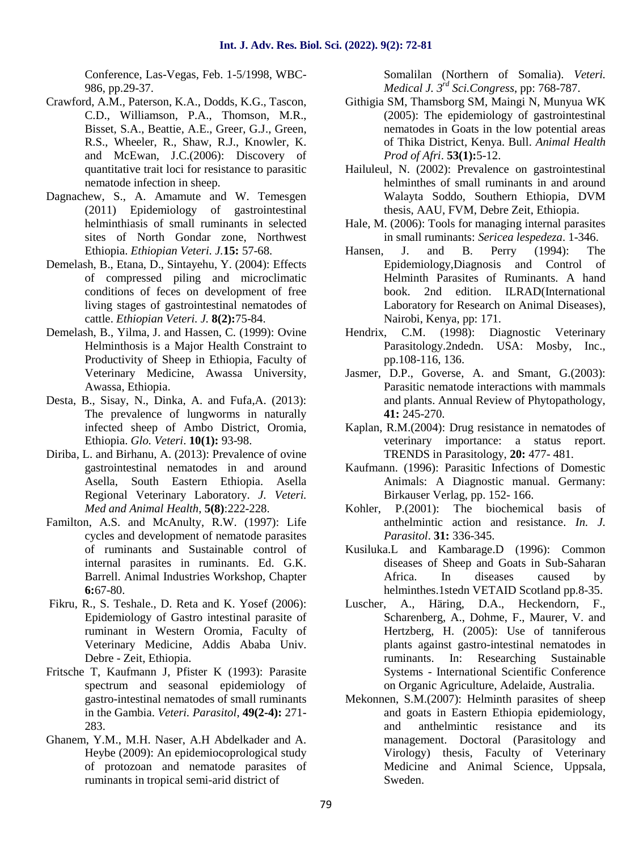Conference, Las-Vegas, Feb. 1-5/1998, WBC- 986, pp.29-37.

- Crawford, A.M., Paterson, K.A., Dodds, K.G., Tascon, C.D., Williamson, P.A., Thomson, M.R., Bisset, S.A., Beattie, A.E., Greer, G.J., Green, R.S., Wheeler, R., Shaw, R.J., Knowler, K. and McEwan, J.C.(2006): Discovery of quantitative trait loci for resistance to parasitic nematode infection in sheep.
- Dagnachew, S., A. Amamute and W. Temesgen (2011) Epidemiology of gastrointestinal helminthiasis of small ruminants in selected sites of North Gondar zone, Northwest Ethiopia. *Ethiopian Veteri. J.***15:** 57-68.
- Demelash, B., Etana, D., Sintayehu, Y. (2004): Effects of compressed piling and microclimatic conditions of feces on development of free living stages of gastrointestinal nematodes of cattle. *Ethiopian Veteri. J.* **8(2):**75-84.
- Demelash, B., Yilma, J. and Hassen, C. (1999): Ovine Helminthosis is a Major Health Constraint to Productivity of Sheep in Ethiopia, Faculty of Veterinary Medicine, Awassa University, Awassa, Ethiopia.
- Desta, B., Sisay, N., Dinka, A. and Fufa,A. (2013): The prevalence of lungworms in naturally infected sheep of Ambo District, Oromia, Ethiopia. *Glo. Veteri*. **10(1):** 93-98.
- Diriba, L. and Birhanu, A. (2013): Prevalence of ovine gastrointestinal nematodes in and around Asella, South Eastern Ethiopia. Asella Regional Veterinary Laboratory. *J. Veteri. Med and Animal Health*, **5(8)**:222-228.
- Familton, A.S. and McAnulty, R.W. (1997): Life cycles and development of nematode parasites of ruminants and Sustainable control of internal parasites in ruminants. Ed. G.K. Barrell. Animal Industries Workshop, Chapter **6:**67-80.
- Fikru, R., S. Teshale., D. Reta and K. Yosef (2006): Epidemiology of Gastro intestinal parasite of ruminant in Western Oromia, Faculty of Veterinary Medicine, Addis Ababa Univ. Debre - Zeit, Ethiopia.
- Fritsche T, Kaufmann J, Pfister K (1993): Parasite spectrum and seasonal epidemiology of gastro-intestinal nematodes of small ruminants in the Gambia. *Veteri. Parasitol*, **49(2-4):** 271- 283.
- Ghanem, Y.M., M.H. Naser, A.H Abdelkader and A. Heybe (2009): An epidemiocoprological study of protozoan and nematode parasites of ruminants in tropical semi-arid district of

Somalilan (Northern of Somalia). *Veteri. Medical J. 3rd Sci.Congress*, pp: 768-787.

- Githigia SM, Thamsborg SM, Maingi N, Munyua WK (2005): The epidemiology of gastrointestinal nematodes in Goats in the low potential areas of Thika District, Kenya. Bull. *Animal Health Prod of Afri*. **53(1):**5-12.
- Hailuleul, N. (2002): Prevalence on gastrointestinal helminthes of small ruminants in and around Walayta Soddo, Southern Ethiopia, DVM thesis, AAU, FVM, Debre Zeit, Ethiopia.
- Hale, M. (2006): Tools for managing internal parasites in small ruminants: *Sericea lespedeza*. 1-346.
- Hansen, J. and B. Perry (1994): The Epidemiology,Diagnosis and Control of Helminth Parasites of Ruminants. A hand book. 2nd edition. ILRAD(International Laboratory for Research on Animal Diseases), Nairobi, Kenya, pp: 171.
- Hendrix, C.M. (1998): Diagnostic Veterinary Parasitology.2ndedn. USA: Mosby, Inc., pp.108-116, 136.
- Jasmer, D.P., Goverse, A. and Smant, G.(2003): Parasitic nematode interactions with mammals and plants. Annual Review of Phytopathology, **41:** 245-270.
- Kaplan, R.M.(2004): Drug resistance in nematodes of veterinary importance: a status report. TRENDS in Parasitology, **20:** 477- 481.
- Kaufmann. (1996): Parasitic Infections of Domestic Animals: A Diagnostic manual. Germany: Birkauser Verlag, pp. 152- 166.
- Kohler, P.(2001): The biochemical basis of anthelmintic action and resistance. *In. J. Parasitol*. **31:** 336-345.
- Kusiluka.L and Kambarage.D (1996): Common diseases of Sheep and Goats in Sub-Saharan Africa. In diseases caused by helminthes.1stedn VETAID Scotland pp.8-35.
- Luscher, A., Häring, D.A., Heckendorn, F., Scharenberg, A., Dohme, F., Maurer, V. and Hertzberg, H. (2005): Use of tanniferous plants against gastro-intestinal nematodes in ruminants. In: Researching Sustainable Systems - International Scientific Conference on Organic Agriculture, Adelaide, Australia.
- Mekonnen, S.M.(2007): Helminth parasites of sheep and goats in Eastern Ethiopia epidemiology, and anthelmintic resistance and its management. Doctoral (Parasitology and Virology) thesis, Faculty of Veterinary Medicine and Animal Science, Uppsala, Sweden.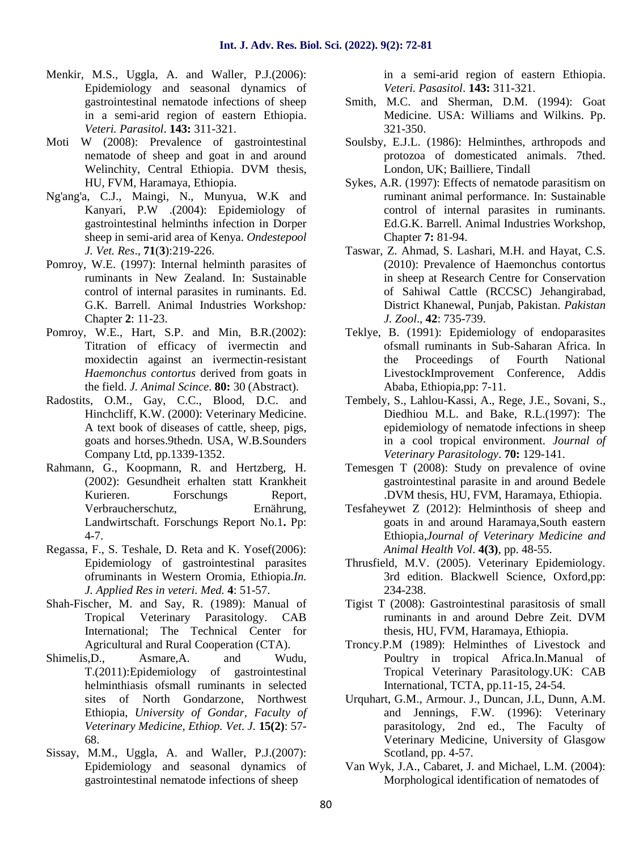- Menkir, M.S., Uggla, A. and Waller, P.J.(2006): Epidemiology and seasonal dynamics of gastrointestinal nematode infections of sheep in a semi-arid region of eastern Ethiopia. *Veteri. Parasitol*. **143:** 311-321.
- Moti W (2008): Prevalence of gastrointestinal nematode of sheep and goat in and around Welinchity, Central Ethiopia. DVM thesis, HU, FVM, Haramaya, Ethiopia.
- Ng'ang'a, C.J., Maingi, N., Munyua, W.K and Kanyari, P.W .(2004): Epidemiology of gastrointestinal helminths infection in Dorper sheep in semi-arid area of Kenya. *Ondestepool J. Vet. Res*., **71**(**3**):219-226.
- Pomroy, W.E. (1997): Internal helminth parasites of ruminants in New Zealand. In: Sustainable control of internal parasites in ruminants*.* Ed. G.K. Barrell. Animal Industries Workshop*:* Chapter **2**: 11-23.
- Pomroy, W.E., Hart, S.P. and Min, B.R.(2002): Titration of efficacy of ivermectin and moxidectin against an ivermectin-resistant *Haemonchus contortus* derived from goats in the field. *J. Animal Scince*. **80:** 30 (Abstract).
- Radostits, O.M., Gay, C.C., Blood, D.C. and Hinchcliff, K.W. (2000): Veterinary Medicine. A text book of diseases of cattle, sheep, pigs, goats and horses.9thedn. USA, W.B.Sounders Company Ltd, pp.1339-1352.
- Rahmann, G., Koopmann, R. and Hertzberg, H. (2002): Gesundheit erhalten statt Krankheit Kurieren. Forschungs Report, Verbraucherschutz, Ernährung, Landwirtschaft. Forschungs Report No.1**.** Pp: 4-7.
- Regassa, F., S. Teshale, D. Reta and K. Yosef(2006): Epidemiology of gastrointestinal parasites ofruminants in Western Oromia, Ethiopia.*In. J. Applied Res in veteri. Med.* **4**: 51-57.
- Shah-Fischer, M. and Say, R. (1989): Manual of Tropical Veterinary Parasitology. CAB International; The Technical Center for Agricultural and Rural Cooperation (CTA).
- Shimelis, D., Asmare, A. and Wudu, T.(2011):Epidemiology of gastrointestinal helminthiasis ofsmall ruminants in selected sites of North Gondarzone, Northwest Ethiopia, *University of Gondar, Faculty of Veterinary Medicine, Ethiop. Vet. J.* **15(2)**: 57- 68.
- Sissay, M.M., Uggla, A. and Waller, P.J.(2007): Epidemiology and seasonal dynamics of gastrointestinal nematode infections of sheep

in a semi-arid region of eastern Ethiopia. *Veteri. Pasasitol*. **143:** 311-321.

- Smith, M.C. and Sherman, D.M. (1994): Goat Medicine. USA: Williams and Wilkins. Pp. 321-350.
- Soulsby, E.J.L. (1986): Helminthes, arthropods and protozoa of domesticated animals. 7thed. London, UK; Bailliere, Tindall
- Sykes, A.R. (1997): Effects of nematode parasitism on ruminant animal performance. In: Sustainable control of internal parasites in ruminants*.* Ed.G.K. Barrell. Animal Industries Workshop, Chapter **7:** 81-94.
- Taswar, Z. Ahmad, S. Lashari, M.H. and Hayat, C.S. (2010): Prevalence of Haemonchus contortus in sheep at Research Centre for Conservation of Sahiwal Cattle (RCCSC) Jehangirabad, District Khanewal, Punjab, Pakistan. *Pakistan J. Zool*., **42**: 735-739.
- Teklye, B. (1991): Epidemiology of endoparasites ofsmall ruminants in Sub-Saharan Africa. In the Proceedings of Fourth National LivestockImprovement Conference, Addis Ababa, Ethiopia,pp: 7-11.
- Tembely, S., Lahlou-Kassi, A., Rege, J.E., Sovani, S., Diedhiou M.L. and Bake, R.L.(1997): The epidemiology of nematode infections in sheep in a cool tropical environment. *Journal of Veterinary Parasitology*. **70:** 129-141.
- Temesgen T (2008): Study on prevalence of ovine gastrointestinal parasite in and around Bedele .DVM thesis, HU, FVM, Haramaya, Ethiopia.
- Tesfaheywet Z (2012): Helminthosis of sheep and goats in and around Haramaya,South eastern Ethiopia,*Journal of Veterinary Medicine and Animal Health Vol*. **4(3)**, pp. 48-55.
- Thrusfield, M.V. (2005). Veterinary Epidemiology. 3rd edition. Blackwell Science, Oxford,pp: 234-238.
- Tigist T (2008): Gastrointestinal parasitosis of small ruminants in and around Debre Zeit. DVM thesis, HU, FVM, Haramaya, Ethiopia.
- Troncy.P.M (1989): Helminthes of Livestock and Poultry in tropical Africa.In.Manual of Tropical Veterinary Parasitology.UK: CAB International, TCTA, pp.11-15, 24-54.
- Urquhart, G.M., Armour. J., Duncan, J.L, Dunn, A.M. and Jennings, F.W. (1996): Veterinary parasitology, 2nd ed., The Faculty of Veterinary Medicine, University of Glasgow Scotland, pp. 4-57.
- Van Wyk, J.A., Cabaret, J. and Michael, L.M. (2004): Morphological identification of nematodes of